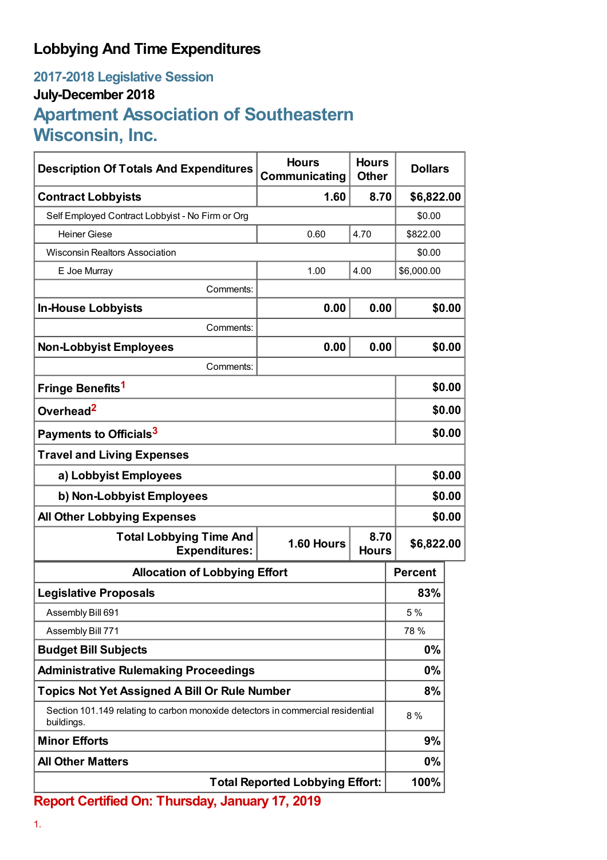## **Lobbying And Time Expenditures**

## **2017-2018 Legislative Session July-December 2018 Apartment Association of Southeastern Wisconsin, Inc.**

| <b>Description Of Totals And Expenditures</b>                                                 | <b>Hours</b><br>Communicating | <b>Hours</b><br><b>Other</b> | <b>Dollars</b> |        |
|-----------------------------------------------------------------------------------------------|-------------------------------|------------------------------|----------------|--------|
| <b>Contract Lobbyists</b>                                                                     | 1.60                          | 8.70                         | \$6,822.00     |        |
| Self Employed Contract Lobbyist - No Firm or Org                                              |                               |                              | \$0.00         |        |
| <b>Heiner Giese</b>                                                                           | 0.60                          | 4.70                         | \$822.00       |        |
| <b>Wisconsin Realtors Association</b>                                                         |                               |                              | \$0.00         |        |
| E Joe Murray                                                                                  | 1.00                          | 4.00                         | \$6,000.00     |        |
| Comments:                                                                                     |                               |                              |                |        |
| <b>In-House Lobbyists</b>                                                                     | 0.00                          | 0.00                         |                | \$0.00 |
| Comments:                                                                                     |                               |                              |                |        |
| <b>Non-Lobbyist Employees</b>                                                                 | 0.00                          | 0.00                         |                | \$0.00 |
| Comments:                                                                                     |                               |                              |                |        |
| Fringe Benefits <sup>1</sup>                                                                  |                               |                              |                | \$0.00 |
| Overhead <sup>2</sup>                                                                         |                               |                              |                | \$0.00 |
| Payments to Officials <sup>3</sup>                                                            |                               |                              |                | \$0.00 |
| <b>Travel and Living Expenses</b>                                                             |                               |                              |                |        |
| a) Lobbyist Employees                                                                         |                               |                              |                | \$0.00 |
| b) Non-Lobbyist Employees                                                                     |                               |                              |                | \$0.00 |
| <b>All Other Lobbying Expenses</b>                                                            |                               |                              |                | \$0.00 |
| <b>Total Lobbying Time And</b><br><b>Expenditures:</b>                                        | 1.60 Hours                    | 8.70<br><b>Hours</b>         | \$6,822.00     |        |
| <b>Allocation of Lobbying Effort</b>                                                          |                               |                              | <b>Percent</b> |        |
| <b>Legislative Proposals</b>                                                                  |                               |                              | 83%            |        |
| Assembly Bill 691                                                                             |                               |                              | 5 %            |        |
| Assembly Bill 771                                                                             |                               |                              | 78 %           |        |
| <b>Budget Bill Subjects</b>                                                                   |                               |                              | $0\%$          |        |
| <b>Administrative Rulemaking Proceedings</b>                                                  |                               |                              | $0\%$          |        |
| <b>Topics Not Yet Assigned A Bill Or Rule Number</b>                                          |                               |                              | 8%             |        |
| Section 101.149 relating to carbon monoxide detectors in commercial residential<br>buildings. |                               |                              | 8 %            |        |
| <b>Minor Efforts</b>                                                                          |                               |                              | 9%             |        |
| <b>All Other Matters</b>                                                                      |                               |                              | $0\%$          |        |
| <b>Total Reported Lobbying Effort:</b>                                                        |                               |                              | 100%           |        |

**Report Certified On: Thursday, January 17, 2019**